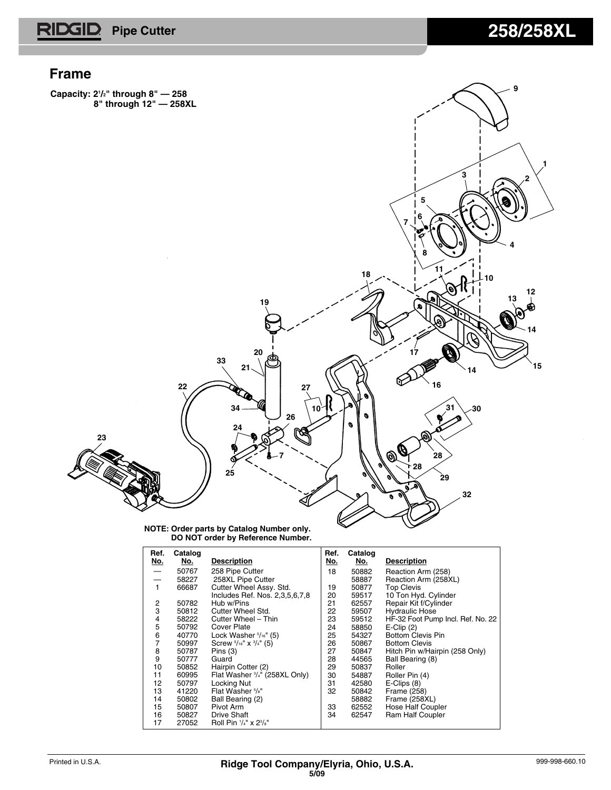#### **Frame**

**Capacity: 21 /2" through 8" — 258 8" through 12" — 258XL**



#### **NOTE: Order parts by Catalog Number only. DO NOT order by Reference Number.**

| Ref.           | Catalog    |                                              | Ref.       | Catalog    |                                   |
|----------------|------------|----------------------------------------------|------------|------------|-----------------------------------|
| <u>No.</u>     | <u>No.</u> | <b>Description</b>                           | <u>No.</u> | <u>No.</u> | <b>Description</b>                |
|                | 50767      | 258 Pipe Cutter                              | 18         | 50882      | Reaction Arm (258)                |
|                | 58227      | 258XL Pipe Cutter                            |            | 58887      | Reaction Arm (258XL)              |
| 1              | 66687      | Cutter Wheel Assy. Std.                      | 19         | 50877      | <b>Top Clevis</b>                 |
|                |            | Includes Ref. Nos. 2,3,5,6,7,8               | 20         | 59517      | 10 Ton Hyd. Cylinder              |
| 2              | 50782      | Hub w/Pins                                   | 21         | 62557      | Repair Kit f/Cylinder             |
| 3              | 50812      | Cutter Wheel Std.                            | 22         | 59507      | <b>Hydraulic Hose</b>             |
| 4              | 58222      | Cutter Wheel - Thin                          | 23         | 59512      | HF-32 Foot Pump Incl. Ref. No. 22 |
| 5              | 50792      | <b>Cover Plate</b>                           | 24         | 58850      | $E$ -Clip $(2)$                   |
| 6              | 40770      | Lock Washer $\frac{5}{16}$ " (5)             | 25         | 54327      | <b>Bottom Clevis Pin</b>          |
| $\overline{7}$ | 50997      | Screw $\frac{5}{16}$ " x $\frac{3}{4}$ " (5) | 26         | 50867      | <b>Bottom Clevis</b>              |
| 8              | 50787      | Pins $(3)$                                   | 27         | 50847      | Hitch Pin w/Hairpin (258 Only)    |
| 9              | 50777      | Guard                                        | 28         | 44565      | Ball Bearing (8)                  |
| 10             | 50852      | Hairpin Cotter (2)                           | 29         | 50837      | Roller                            |
| 11             | 60995      | Flat Washer 3/4" (258XL Only)                | 30         | 54887      | Roller Pin (4)                    |
| 12             | 50797      | Locking Nut                                  | 31         | 42580      | $E$ -Clips $(8)$                  |
| 13             | 41220      | Flat Washer 5/8"                             | 32         | 50842      | Frame (258)                       |
| 14             | 50802      | Ball Bearing (2)                             |            | 58882      | Frame (258XL)                     |
| 15             | 50807      | Pivot Arm                                    | 33         | 62552      | Hose Half Coupler                 |
| 16             | 50827      | <b>Drive Shaft</b>                           | 34         | 62547      | Ram Half Coupler                  |
| 17             | 27052      | Roll Pin 1/4" x 23/8"                        |            |            |                                   |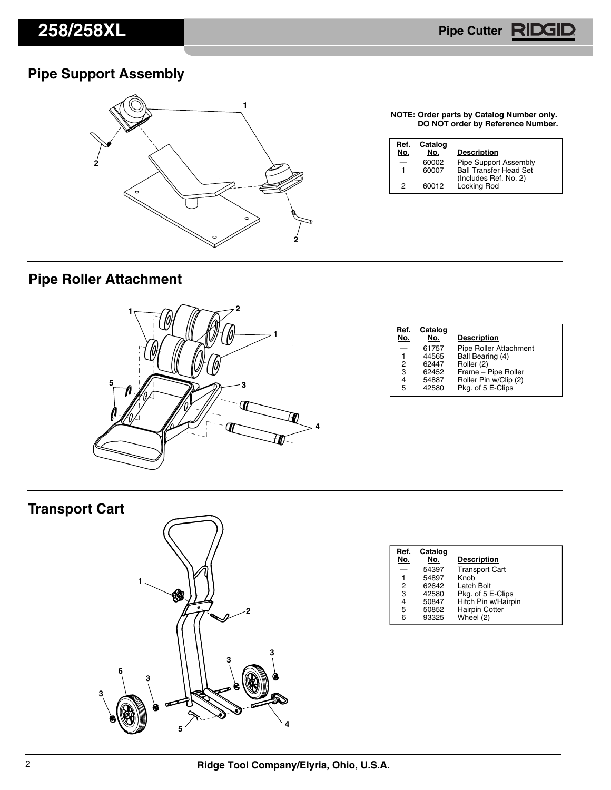Pipe Cutter **RIDG** 

## **Pipe Support Assembly**



**NOTE: Order parts by Catalog Number only. DO NOT order by Reference Number.**

| Ref.<br>No. | Catalog<br>No. | <b>Description</b>                   |
|-------------|----------------|--------------------------------------|
|             | 60002          | Pipe Support Assembly                |
| 1           | 60007          | <b>Ball Transfer Head Set</b>        |
| 2           | 60012          | (Includes Ref. No. 2)<br>Locking Rod |

## **Pipe Roller Attachment**



| Ref.<br>No. | Catalog<br>No. | <b>Description</b>     |
|-------------|----------------|------------------------|
|             | 61757          | Pipe Roller Attachment |
| 1           | 44565          | Ball Bearing (4)       |
| 2           | 62447          | Roller (2)             |
| 3           | 62452          | Frame - Pipe Roller    |
| 4           | 54887          | Roller Pin w/Clip (2)  |
| 5           | 42580          | Pkg. of 5 E-Clips      |

# **Transport Cart**



| Ref.<br>No. | Catalog<br>No. | <b>Description</b>    |
|-------------|----------------|-----------------------|
|             | 54397          | <b>Transport Cart</b> |
|             | 54897          | Knob                  |
| 2           | 62642          | Latch Bolt            |
| 3           | 42580          | Pkg. of 5 E-Clips     |
| 4           | 50847          | Hitch Pin w/Hairpin   |
| 5           | 50852          | <b>Hairpin Cotter</b> |
| 6           | 93325          | Wheel (2)             |